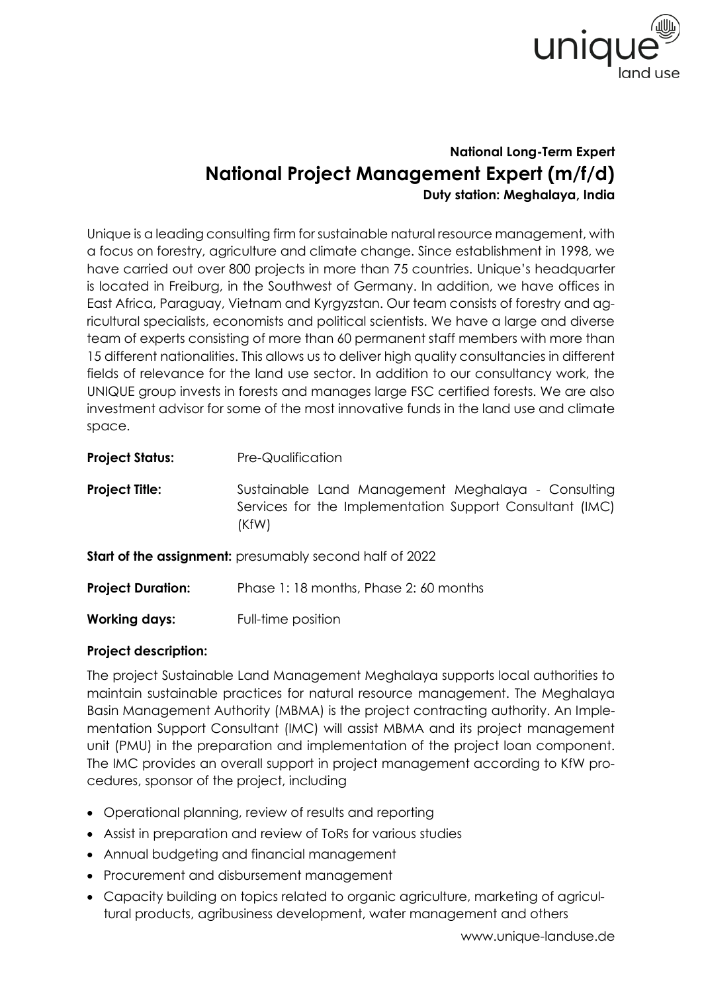

## **National Long-Term Expert National Project Management Expert (m/f/d) Duty station: Meghalaya, India**

Unique is a leading consulting firm for sustainable natural resource management, with a focus on forestry, agriculture and climate change. Since establishment in 1998, we have carried out over 800 projects in more than 75 countries. Unique's headquarter is located in Freiburg, in the Southwest of Germany. In addition, we have offices in East Africa, Paraguay, Vietnam and Kyrgyzstan. Our team consists of forestry and agricultural specialists, economists and political scientists. We have a large and diverse team of experts consisting of more than 60 permanent staff members with more than 15 different nationalities. This allows us to deliver high quality consultancies in different fields of relevance for the land use sector. In addition to our consultancy work, the UNIQUE group invests in forests and manages large FSC certified forests. We are also investment advisor for some of the most innovative funds in the land use and climate space.

| <b>Project Status:</b>   | <b>Pre-Qualification</b>                                                                                                |
|--------------------------|-------------------------------------------------------------------------------------------------------------------------|
| <b>Project Title:</b>    | Sustainable Land Management Meghalaya - Consulting<br>Services for the Implementation Support Consultant (IMC)<br>(KfW) |
|                          | <b>Start of the assignment:</b> presumably second half of 2022                                                          |
| <b>Project Duration:</b> | Phase 1:18 months, Phase 2:60 months                                                                                    |
| <b>Working days:</b>     | Full-time position                                                                                                      |

## **Project description:**

The project Sustainable Land Management Meghalaya supports local authorities to maintain sustainable practices for natural resource management. The Meghalaya Basin Management Authority (MBMA) is the project contracting authority. An Implementation Support Consultant (IMC) will assist MBMA and its project management unit (PMU) in the preparation and implementation of the project loan component. The IMC provides an overall support in project management according to KfW procedures, sponsor of the project, including

- Operational planning, review of results and reporting
- Assist in preparation and review of ToRs for various studies
- Annual budgeting and financial management
- Procurement and disbursement management
- Capacity building on topics related to organic agriculture, marketing of agricultural products, agribusiness development, water management and others